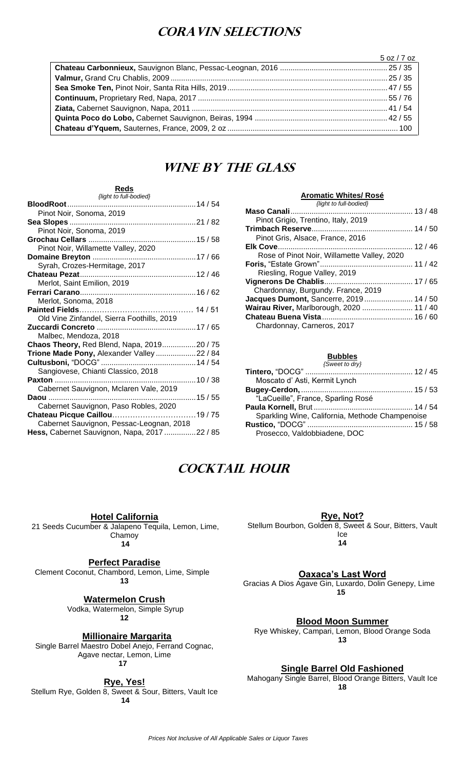## **Coravin Selections**

| <u> 1989 - Johann Stein, markin fan it ferstjer fan de ferstjer fan it ferstjer fan de ferstjer fan de ferstjer</u> | 5 oz / 7 oz |
|---------------------------------------------------------------------------------------------------------------------|-------------|
|                                                                                                                     |             |
|                                                                                                                     |             |
|                                                                                                                     |             |
|                                                                                                                     |             |
|                                                                                                                     |             |
|                                                                                                                     |             |
|                                                                                                                     |             |

## **WINE BY THE GLASS**

#### **Reds** *{light to full-bodied}*

| Pinot Noir, Sonoma, 2019                     |  |
|----------------------------------------------|--|
|                                              |  |
| Pinot Noir, Sonoma, 2019                     |  |
|                                              |  |
| Pinot Noir, Willamette Valley, 2020          |  |
|                                              |  |
| Syrah, Crozes-Hermitage, 2017                |  |
|                                              |  |
| Merlot, Saint Emilion, 2019                  |  |
|                                              |  |
| Merlot, Sonoma, 2018                         |  |
|                                              |  |
| Old Vine Zinfandel, Sierra Foothills, 2019   |  |
|                                              |  |
| Malbec, Mendoza, 2018                        |  |
| Chaos Theory, Red Blend, Napa, 201920 / 75   |  |
| Trione Made Pony, Alexander Valley 22 / 84   |  |
|                                              |  |
| Sangiovese, Chianti Classico, 2018           |  |
|                                              |  |
| Cabernet Sauvignon, Mclaren Vale, 2019       |  |
|                                              |  |
| Cabernet Sauvignon, Paso Robles, 2020        |  |
|                                              |  |
| Cabernet Sauvignon, Pessac-Leognan, 2018     |  |
| Hess, Cabernet Sauvignon, Napa, 2017 22 / 85 |  |
|                                              |  |

#### **Aromatic Whites/ Rosé**

| {light to full-bodied}                      |  |
|---------------------------------------------|--|
|                                             |  |
| Pinot Grigio, Trentino, Italy, 2019         |  |
|                                             |  |
| Pinot Gris, Alsace, France, 2016            |  |
|                                             |  |
| Rose of Pinot Noir, Willamette Valley, 2020 |  |
|                                             |  |
| Riesling, Rogue Valley, 2019                |  |
|                                             |  |
| Chardonnay, Burgundy. France, 2019          |  |
| Jacques Dumont, Sancerre, 2019 14 / 50      |  |
| Wairau River, Marlborough, 2020  11 / 40    |  |
|                                             |  |
| Chardonnay, Carneros, 2017                  |  |
|                                             |  |

#### **Bubbles**

| {Sweet to dry}                                  |  |
|-------------------------------------------------|--|
|                                                 |  |
| Moscato d' Asti, Kermit Lynch                   |  |
|                                                 |  |
| "LaCueille", France, Sparling Rosé              |  |
|                                                 |  |
| Sparkling Wine, California, Methode Champenoise |  |
|                                                 |  |
| Prosecco, Valdobbiadene, DOC                    |  |

## **Cocktail Hour**

**Hotel California**

21 Seeds Cucumber & Jalapeno Tequila, Lemon, Lime, Chamoy **14**

### **Perfect Paradise**

Clement Coconut, Chambord, Lemon, Lime, Simple **13**

**Watermelon Crush**

Vodka, Watermelon, Simple Syrup **12**

**Millionaire Margarita**

Single Barrel Maestro Dobel Anejo, Ferrand Cognac, Agave nectar, Lemon, Lime **17** 

**Rye, Yes!**

Stellum Rye, Golden 8, Sweet & Sour, Bitters, Vault Ice **14**

**Rye, Not?**

Stellum Bourbon, Golden 8, Sweet & Sour, Bitters, Vault Ice

**14**

**Oaxaca's Last Word**

Gracias A Dios Agave Gin, Luxardo, Dolin Genepy, Lime **15**

**Blood Moon Summer**

Rye Whiskey, Campari, Lemon, Blood Orange Soda **13**

**Single Barrel Old Fashioned**

Mahogany Single Barrel, Blood Orange Bitters, Vault Ice **18**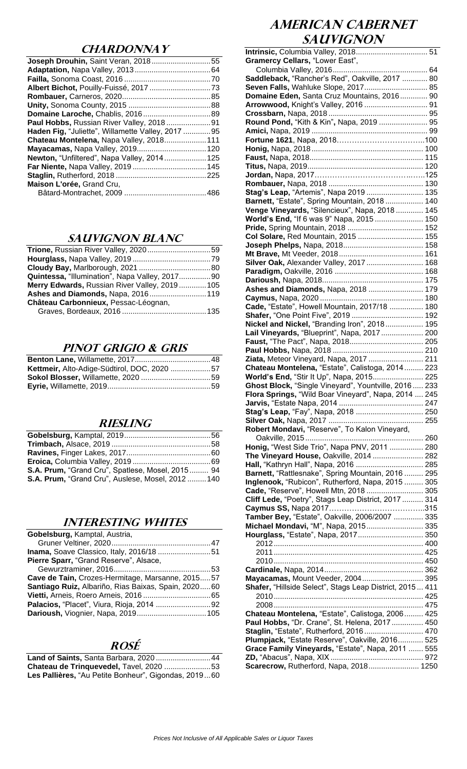### **CHARDONNAY**

| <b>Joseph Drouhin, Saint Veran, 201855</b>        |  |
|---------------------------------------------------|--|
|                                                   |  |
|                                                   |  |
|                                                   |  |
|                                                   |  |
|                                                   |  |
|                                                   |  |
|                                                   |  |
| Haden Fig, "Juliette", Willamette Valley, 2017 95 |  |
| Chateau Montelena, Napa Valley, 2018111           |  |
|                                                   |  |
| Newton, "Unfiltered", Napa Valley, 2014 125       |  |
|                                                   |  |
|                                                   |  |
| Maison L'orée, Grand Cru,                         |  |
|                                                   |  |
|                                                   |  |

### **SAUVIGNON BLANC**

| Quintessa, "Illumination", Napa Valley, 201790 |  |
|------------------------------------------------|--|
| Merry Edwards, Russian River Valley, 2019105   |  |
| Ashes and Diamonds, Napa, 2016 119             |  |
| Château Carbonnieux, Pessac-Léognan,           |  |
|                                                |  |
|                                                |  |

### **PINOT Grigio & Gris**

| Kettmeir, Alto-Adige-Südtirol, DOC, 2020 57 |  |
|---------------------------------------------|--|
|                                             |  |
|                                             |  |

#### **RIESLING**

| <b>S.A. Prum, "Grand Cru", Spatlese, Mosel, 2015 94</b> |  |
|---------------------------------------------------------|--|
| <b>S.A. Prum, "Grand Cru", Auslese, Mosel, 2012140</b>  |  |

### **INTERESTING WHITES**

| Gobelsburg, Kamptal, Austria,                       |
|-----------------------------------------------------|
|                                                     |
|                                                     |
| Pierre Sparr, "Grand Reserve", Alsace,              |
|                                                     |
| Cave de Tain, Crozes-Hermitage, Marsanne, 201557    |
| Santiago Ruiz, Albariño, Rias Baixas, Spain, 202060 |
|                                                     |
|                                                     |
|                                                     |

### **ROSÉ**

| Land of Saints, Santa Barbara, 2020  44              |  |
|------------------------------------------------------|--|
| Chateau de Trinquevedel, Tavel, 2020 53              |  |
| Les Pallières, "Au Petite Bonheur", Gigondas, 201960 |  |

## **AMERICAN CABERNET SAUVIGNON**

| Gramercy Cellars, "Lower East",                                                                         |  |
|---------------------------------------------------------------------------------------------------------|--|
|                                                                                                         |  |
| Saddleback, "Rancher's Red", Oakville, 2017  80                                                         |  |
| Seven Falls, Wahluke Slope, 2017 85                                                                     |  |
| Domaine Eden, Santa Cruz Mountains, 2016 90                                                             |  |
| Arrowwood, Knight's Valley, 2016  91                                                                    |  |
|                                                                                                         |  |
| Round Pond, "Kith & Kin", Napa, 2019  95                                                                |  |
|                                                                                                         |  |
|                                                                                                         |  |
|                                                                                                         |  |
|                                                                                                         |  |
|                                                                                                         |  |
|                                                                                                         |  |
|                                                                                                         |  |
|                                                                                                         |  |
| Stag's Leap, "Artemis", Napa 2019  135                                                                  |  |
| Barnett, "Estate", Spring Mountain, 2018 140                                                            |  |
| Venge Vineyards, "Silencieux", Napa, 2018 145                                                           |  |
| World's End, "If 6 was 9" Napa, 2015 150                                                                |  |
|                                                                                                         |  |
| Col Solare, Red Mountain, 2015  155                                                                     |  |
|                                                                                                         |  |
|                                                                                                         |  |
| Silver Oak, Alexander Valley, 2017  168                                                                 |  |
|                                                                                                         |  |
|                                                                                                         |  |
|                                                                                                         |  |
| Ashes and Diamonds, Napa, 2018  179                                                                     |  |
|                                                                                                         |  |
| Cade, "Estate", Howell Mountain, 2017/18  180                                                           |  |
| Shafer, "One Point Five", 2019  192                                                                     |  |
| Nickel and Nickel, "Branding Iron", 2018 195                                                            |  |
| Lail Vineyards, "Blueprint", Napa, 2017 200                                                             |  |
|                                                                                                         |  |
|                                                                                                         |  |
| Ziata, Meteor Vineyard, Napa, 2017  211                                                                 |  |
|                                                                                                         |  |
|                                                                                                         |  |
| Chateau Montelena, "Estate", Calistoga, 2014 223                                                        |  |
| World's End, "Stir It Up", Napa, 2015 225                                                               |  |
| Ghost Block, "Single Vineyard", Yountville, 2016  233                                                   |  |
| Flora Springs, "Wild Boar Vineyard", Napa, 2014  245                                                    |  |
|                                                                                                         |  |
| Stag's Leap, "Fay", Napa, 2018  250                                                                     |  |
|                                                                                                         |  |
| Robert Mondavi, "Reserve", To Kalon Vineyard,                                                           |  |
|                                                                                                         |  |
| Honig, "West Side Trio", Napa PNV, 2011  280                                                            |  |
| The Vineyard House, Oakville, 2014  282                                                                 |  |
| Hall, "Kathryn Hall", Napa, 2016  285                                                                   |  |
|                                                                                                         |  |
| Barnett, "Rattlesnake", Spring Mountain, 2016  295<br>Inglenook, "Rubicon", Rutherford, Napa, 2015  305 |  |
|                                                                                                         |  |
| Cade, "Reserve", Howell Mtn, 2018  305                                                                  |  |
| Cliff Lede, "Poetry", Stags Leap District, 2017  314                                                    |  |
|                                                                                                         |  |
| Tamber Bey, "Estate", Oakville, 2006/2007  335                                                          |  |
| Michael Mondavi, "M", Napa, 2015 335                                                                    |  |
| Hourglass, "Estate", Napa, 2017 350                                                                     |  |
|                                                                                                         |  |
|                                                                                                         |  |
|                                                                                                         |  |
|                                                                                                         |  |
| Mayacamas, Mount Veeder, 2004 395                                                                       |  |
| Shafer, "Hillside Select", Stags Leap District, 2015 411                                                |  |
|                                                                                                         |  |
|                                                                                                         |  |
| Chateau Montelena, "Estate", Calistoga, 2006 425                                                        |  |
| Paul Hobbs, "Dr. Crane", St. Helena, 2017  450                                                          |  |
|                                                                                                         |  |
| Staglin, "Estate", Rutherford, 2016 470                                                                 |  |
| Plumpjack, "Estate Reserve", Oakville, 2016 525                                                         |  |
| Grace Family Vineyards, "Estate", Napa, 2011  555                                                       |  |
| Scarecrow, Rutherford, Napa, 2018 1250                                                                  |  |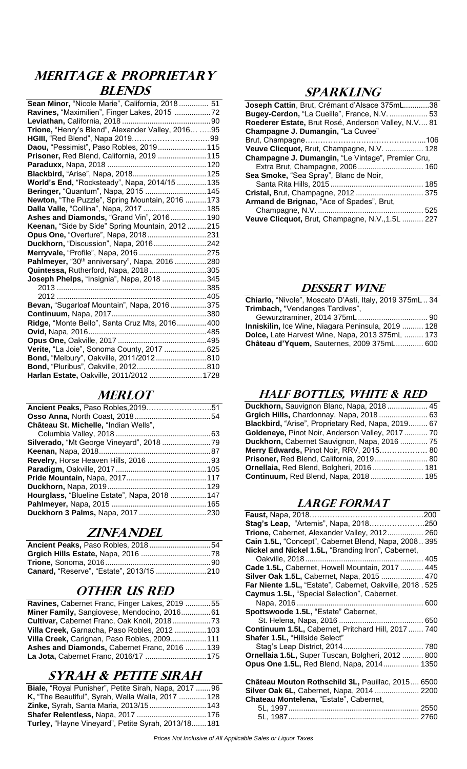## **MERITAGE & PROPRIETARY BLENDS**

| Sean Minor, "Nicole Marie", California, 2018 51    |  |
|----------------------------------------------------|--|
| Ravines, "Maximilien", Finger Lakes, 2015 72       |  |
|                                                    |  |
| Trione, "Henry's Blend", Alexander Valley, 2016 95 |  |
|                                                    |  |
| Daou, "Pessimist", Paso Robles, 2019 115           |  |
| Prisoner, Red Blend, California, 2019  115         |  |
|                                                    |  |
|                                                    |  |
| World's End, "Rocksteady", Napa, 2014/15  135      |  |
| Beringer, "Quantum", Napa, 2015  145               |  |
| Newton, "The Puzzle", Spring Mountain, 2016  173   |  |
| Dalla Valle, "Collina", Napa, 2017  185            |  |
| Ashes and Diamonds, "Grand Vin", 2016 190          |  |
| Keenan, "Side by Side" Spring Mountain, 2012 215   |  |
| Opus One, "Overture", Napa, 2018231                |  |
| Duckhorn, "Discussion", Napa, 2016242              |  |
| Merryvale, "Profile", Napa, 2016 275               |  |
| Pahlmeyer, "30th anniversary", Napa, 2016 280      |  |
| Quintessa, Rutherford, Napa, 2018305               |  |
| Joseph Phelps, "Insignia", Napa, 2018 345          |  |
|                                                    |  |
|                                                    |  |
| Bevan, "Sugarloaf Mountain", Napa, 2016375         |  |
|                                                    |  |
| Ridge, "Monte Bello", Santa Cruz Mts, 2016 400     |  |
|                                                    |  |
|                                                    |  |
| Verite, "La Joie", Sonoma County, 2017 625         |  |
| Bond, "Melbury", Oakville, 2011/2012810            |  |
|                                                    |  |
| Harlan Estate, Oakville, 2011/2012  1728           |  |
|                                                    |  |

## **MERLOT**

| Hourglass, "Blueline Estate", Napa, 2018  147 |
|-----------------------------------------------|
|                                               |
|                                               |
|                                               |

### **ZINFANDEL**

| Ancient Peaks, Paso Robles, 201854 |  |
|------------------------------------|--|
|                                    |  |
|                                    |  |
|                                    |  |

## **OTHER US RED**

| Ravines, Cabernet Franc, Finger Lakes, 2019 55 |  |
|------------------------------------------------|--|
| Miner Family, Sangiovese, Mendocino, 201661    |  |
|                                                |  |
| Villa Creek, Garnacha, Paso Robles, 2012 103   |  |
| Villa Creek, Carignan, Paso Robles, 2009 111   |  |
| Ashes and Diamonds, Cabernet Franc, 2016 139   |  |
|                                                |  |

## **Syrah & Petite Sirah**

| Biale, "Royal Punisher", Petite Sirah, Napa, 2017  96 |  |
|-------------------------------------------------------|--|
| K, "The Beautiful", Syrah, Walla Walla, 2017  128     |  |
| Zinke, Syrah, Santa Maria, 2013/15 143                |  |
| <b>Shafer Relentless, Napa, 2017 176</b>              |  |
| Turley, "Hayne Vineyard", Petite Syrah, 2013/18 181   |  |

### **SPARKLING**

| Joseph Cattin, Brut, Crémant d'Alsace 375mL38       |  |
|-----------------------------------------------------|--|
| <b>Bugey-Cerdon, "La Cueille", France, N.V.  53</b> |  |
| Roederer Estate, Brut Rosé, Anderson Valley, N.V 81 |  |
| Champagne J. Dumangin, "La Cuvee"                   |  |
|                                                     |  |
| Veuve Clicquot, Brut, Champagne, N.V.  128          |  |
| Champagne J. Dumangin, "Le Vintage", Premier Cru,   |  |
|                                                     |  |
| Sea Smoke, "Sea Spray", Blanc de Noir,              |  |
|                                                     |  |
|                                                     |  |
| Armand de Brignac, "Ace of Spades", Brut,           |  |
|                                                     |  |
| Veuve Clicquot, Brut, Champagne, N.V., 1.5L  227    |  |
|                                                     |  |

### **DESSERT WINE**

**Chiarlo,** "Nivole", Moscato D'Asti, Italy, 2019 375mL .. 34 **Trimbach,** "Vendanges Tardives",

| Inniskilin, Ice Wine, Niagara Peninsula, 2019  128 |  |
|----------------------------------------------------|--|
| Dolce, Late Harvest Wine, Napa, 2013 375mL  173    |  |
| Château d'Yquem, Sauternes, 2009 375mL 600         |  |

### **HALF BOTTLES, White & Red**

| Duckhorn, Sauvignon Blanc, Napa, 2018 45           |
|----------------------------------------------------|
| Grgich Hills, Chardonnay, Napa, 2018  63           |
| Blackbird, "Arise", Proprietary Red, Napa, 2019 67 |
| Goldeneye, Pinot Noir, Anderson Valley, 2017  70   |
| Duckhorn, Cabernet Sauvignon, Napa, 2016  75       |
| Merry Edwards, Pinot Noir, RRV, 2015 80            |
| Prisoner, Red Blend, California, 2019 80           |
| <b>Ornellaia, Red Blend, Bolgheri, 2016 181</b>    |
| Continuum, Red Blend, Napa, 2018 185               |
|                                                    |

### **LARGE FORMAT**

| Stag's Leap, "Artemis", Napa, 2018250                    |
|----------------------------------------------------------|
| Trione, Cabernet, Alexander Valley, 2012 260             |
| Cain 1.5L, "Concept", Cabernet Blend, Napa, 2008 395     |
| Nickel and Nickel 1.5L, "Branding Iron", Cabernet,       |
|                                                          |
| Cade 1.5L, Cabernet, Howell Mountain, 2017  445          |
| Silver Oak 1.5L, Cabernet, Napa, 2015  470               |
| Far Niente 1.5L, "Estate", Cabernet, Oakville, 2018. 525 |
| Caymus 1.5L, "Special Selection", Cabernet,              |
|                                                          |
| Spottswoode 1.5L, "Estate" Cabernet,                     |
|                                                          |
| Continuum 1.5L, Cabernet, Pritchard Hill, 2017  740      |
| Shafer 1.5L, "Hillside Select"                           |
|                                                          |
| Ornellaia 1.5L, Super Tuscan, Bolgheri, 2012  800        |
| Opus One 1.5L, Red Blend, Napa, 2014 1350                |
|                                                          |
| Château Mouton Rothschild 3L, Pauillac, 2015 6500        |
| Silver Oak 6L, Cabernet, Napa, 2014  2200                |
| Chateau Montelena, "Estate", Cabernet,                   |
|                                                          |
|                                                          |